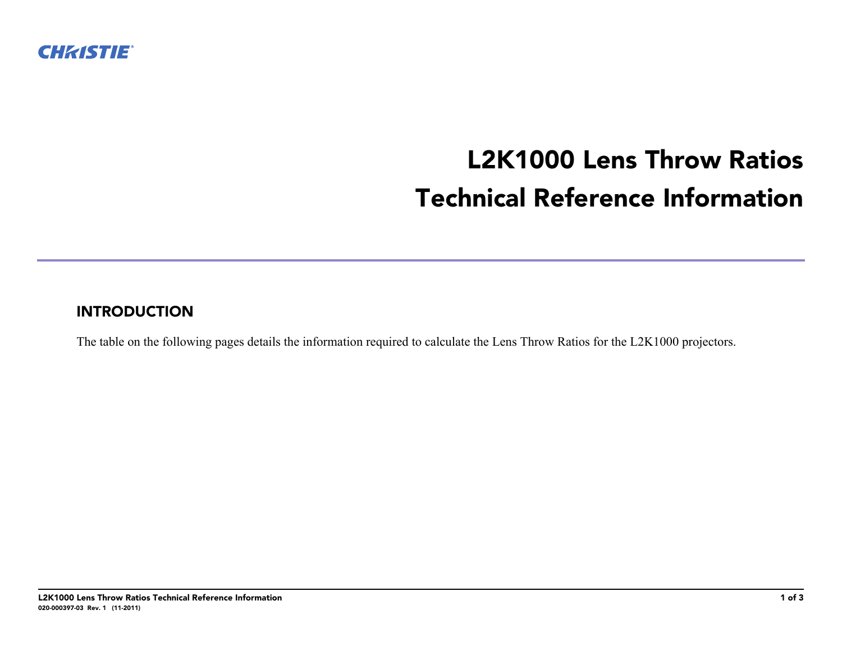

## **L2K1000 Lens Throw Ratios Technical Reference Information**

## **INTRODUCTION**

The table on the following pages details the information required to calculate the Lens Throw Ratios for the L2K1000 projectors.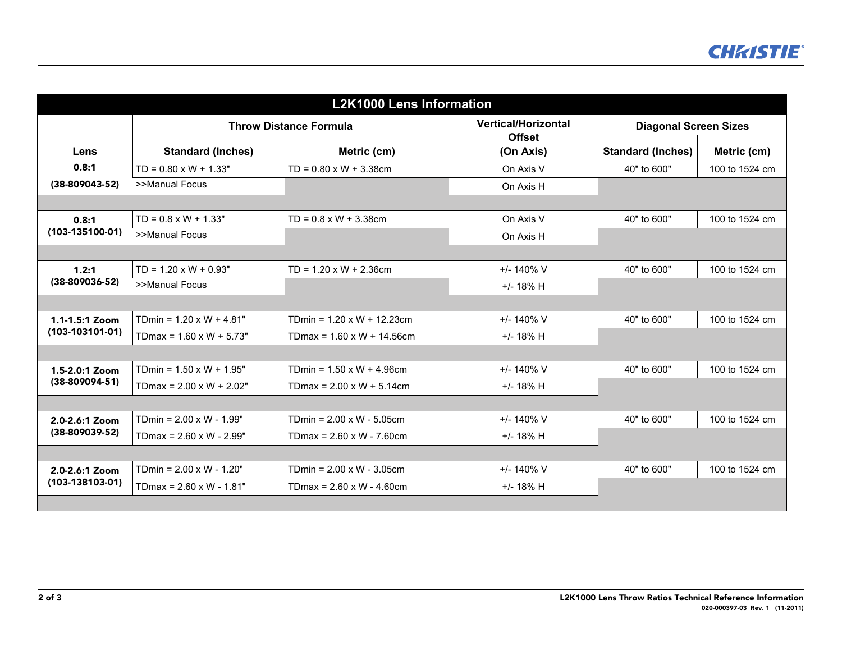| <b>L2K1000 Lens Information</b>     |                                  |                                       |                            |                              |                |  |  |  |
|-------------------------------------|----------------------------------|---------------------------------------|----------------------------|------------------------------|----------------|--|--|--|
|                                     | <b>Throw Distance Formula</b>    |                                       | <b>Vertical/Horizontal</b> | <b>Diagonal Screen Sizes</b> |                |  |  |  |
| Lens                                | <b>Standard (Inches)</b>         | Metric (cm)                           | <b>Offset</b><br>(On Axis) | <b>Standard (Inches)</b>     | Metric (cm)    |  |  |  |
| 0.8:1<br>$(38-809043-52)$           | $TD = 0.80 \times W + 1.33"$     | $TD = 0.80 \times W + 3.38 \text{cm}$ | On Axis V                  | 40" to 600"                  | 100 to 1524 cm |  |  |  |
|                                     | >>Manual Focus                   |                                       | On Axis H                  |                              |                |  |  |  |
|                                     |                                  |                                       |                            |                              |                |  |  |  |
| 0.8:1<br>$(103-135100-01)$          | $TD = 0.8 \times W + 1.33"$      | $TD = 0.8 \times W + 3.38$ cm         | On Axis V                  | 40" to 600"                  | 100 to 1524 cm |  |  |  |
|                                     | >>Manual Focus                   |                                       | On Axis H                  |                              |                |  |  |  |
|                                     |                                  |                                       |                            |                              |                |  |  |  |
| 1.2:1<br>$(38-809036-52)$           | $TD = 1.20 \times W + 0.93"$     | $TD = 1.20 \times W + 2.36$ cm        | $+/- 140\%$ V              | 40" to 600"                  | 100 to 1524 cm |  |  |  |
|                                     | >>Manual Focus                   |                                       | $+/- 18\% H$               |                              |                |  |  |  |
|                                     |                                  |                                       |                            |                              |                |  |  |  |
| 1.1-1.5:1 Zoom<br>$(103-103101-01)$ | TDmin = $1.20 \times W + 4.81$ " | TDmin = $1.20 \times W + 12.23$ cm    | $+/- 140\%$ V              | 40" to 600"                  | 100 to 1524 cm |  |  |  |
|                                     | TDmax = $1.60 \times W + 5.73"$  | TDmax = $1.60 \times W + 14.56$ cm    | $+/- 18\% H$               |                              |                |  |  |  |
|                                     |                                  |                                       |                            |                              |                |  |  |  |
| 1.5-2.0:1 Zoom<br>$(38-809094-51)$  | TDmin = $1.50 \times W + 1.95"$  | TDmin = $1.50 \times W + 4.96$ cm     | $+/- 140\%$ V              | 40" to 600"                  | 100 to 1524 cm |  |  |  |
|                                     | TDmax = $2.00 \times W + 2.02"$  | TDmax = $2.00 \times W + 5.14$ cm     | $+/- 18\% H$               |                              |                |  |  |  |
|                                     |                                  |                                       |                            |                              |                |  |  |  |
| 2.0-2.6:1 Zoom<br>$(38-809039-52)$  | TDmin = $2.00 \times W - 1.99"$  | TDmin = $2.00 \times W - 5.05$ cm     | $+/- 140\%$ V              | 40" to 600"                  | 100 to 1524 cm |  |  |  |
|                                     | TDmax = $2.60 \times W - 2.99"$  | TDmax = $2.60 \times W - 7.60$ cm     | $+/- 18\% H$               |                              |                |  |  |  |
|                                     |                                  |                                       |                            |                              |                |  |  |  |
| 2.0-2.6:1 Zoom<br>$(103-138103-01)$ | TDmin = $2.00 \times W - 1.20"$  | TDmin = $2.00 \times W - 3.05$ cm     | $+/- 140\%$ V              | 40" to 600"                  | 100 to 1524 cm |  |  |  |
|                                     | TDmax = $2.60 \times W - 1.81"$  | TDmax = $2.60 \times W - 4.60$ cm     | $+/- 18\% H$               |                              |                |  |  |  |
|                                     |                                  |                                       |                            |                              |                |  |  |  |